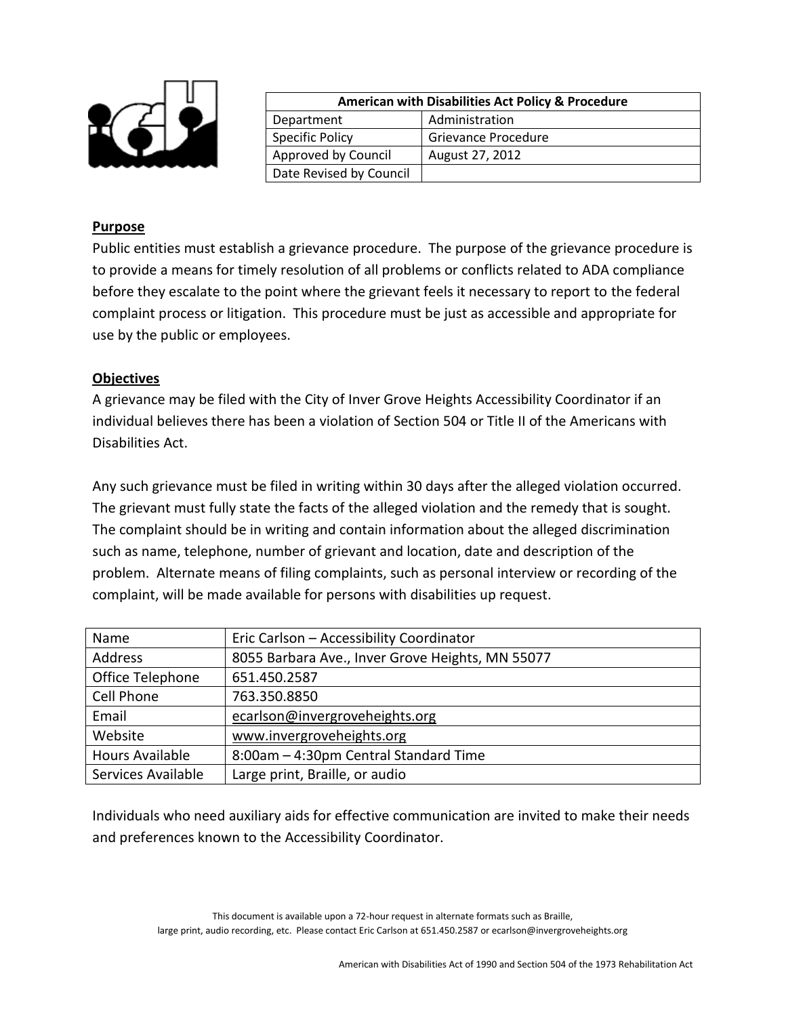

| <b>American with Disabilities Act Policy &amp; Procedure</b> |                     |
|--------------------------------------------------------------|---------------------|
| Department                                                   | Administration      |
| <b>Specific Policy</b>                                       | Grievance Procedure |
| Approved by Council                                          | August 27, 2012     |
| Date Revised by Council                                      |                     |

## **Purpose**

Public entities must establish a grievance procedure. The purpose of the grievance procedure is to provide a means for timely resolution of all problems or conflicts related to ADA compliance before they escalate to the point where the grievant feels it necessary to report to the federal complaint process or litigation. This procedure must be just as accessible and appropriate for use by the public or employees.

## **Objectives**

A grievance may be filed with the City of Inver Grove Heights Accessibility Coordinator if an individual believes there has been a violation of Section 504 or Title II of the Americans with Disabilities Act.

Any such grievance must be filed in writing within 30 days after the alleged violation occurred. The grievant must fully state the facts of the alleged violation and the remedy that is sought. The complaint should be in writing and contain information about the alleged discrimination such as name, telephone, number of grievant and location, date and description of the problem. Alternate means of filing complaints, such as personal interview or recording of the complaint, will be made available for persons with disabilities up request.

| Name               | Eric Carlson - Accessibility Coordinator         |
|--------------------|--------------------------------------------------|
| Address            | 8055 Barbara Ave., Inver Grove Heights, MN 55077 |
| Office Telephone   | 651.450.2587                                     |
| Cell Phone         | 763.350.8850                                     |
| Email              | ecarlson@invergroveheights.org                   |
| Website            | www.invergroveheights.org                        |
| Hours Available    | 8:00am - 4:30pm Central Standard Time            |
| Services Available | Large print, Braille, or audio                   |

Individuals who need auxiliary aids for effective communication are invited to make their needs and preferences known to the Accessibility Coordinator.